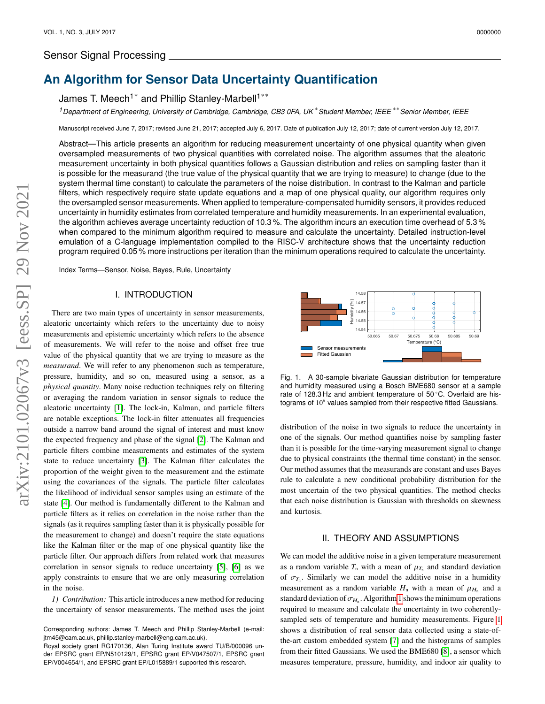## Sensor Signal Processing

# **An Algorithm for Sensor Data Uncertainty Quantification**

James T. Meech<sup>1\*</sup> and Phillip Stanley-Marbell<sup>1\*\*</sup>

*<sup>1</sup>Department of Engineering, University of Cambridge, Cambridge, CB3 0FA, UK* \**Student Member, IEEE* \*\**Senior Member, IEEE*

Manuscript received June 7, 2017; revised June 21, 2017; accepted July 6, 2017. Date of publication July 12, 2017; date of current version July 12, 2017.

Abstract—This article presents an algorithm for reducing measurement uncertainty of one physical quantity when given oversampled measurements of two physical quantities with correlated noise. The algorithm assumes that the aleatoric measurement uncertainty in both physical quantities follows a Gaussian distribution and relies on sampling faster than it is possible for the measurand (the true value of the physical quantity that we are trying to measure) to change (due to the system thermal time constant) to calculate the parameters of the noise distribution. In contrast to the Kalman and particle filters, which respectively require state update equations and a map of one physical quality, our algorithm requires only the oversampled sensor measurements. When applied to temperature-compensated humidity sensors, it provides reduced uncertainty in humidity estimates from correlated temperature and humidity measurements. In an experimental evaluation, the algorithm achieves average uncertainty reduction of 10.3 %. The algorithm incurs an execution time overhead of 5.3 % when compared to the minimum algorithm required to measure and calculate the uncertainty. Detailed instruction-level emulation of a C-language implementation compiled to the RISC-V architecture shows that the uncertainty reduction program required 0.05 % more instructions per iteration than the minimum operations required to calculate the uncertainty.

Index Terms—Sensor, Noise, Bayes, Rule, Uncertainty

## I. INTRODUCTION

There are two main types of uncertainty in sensor measurements, aleatoric uncertainty which refers to the uncertainty due to noisy measurements and epistemic uncertainty which refers to the absence of measurements. We will refer to the noise and offset free true value of the physical quantity that we are trying to measure as the *measurand*. We will refer to any phenomenon such as temperature, pressure, humidity, and so on, measured using a sensor, as a *physical quantity*. Many noise reduction techniques rely on filtering or averaging the random variation in sensor signals to reduce the aleatoric uncertainty [\[1\]](#page-3-0). The lock-in, Kalman, and particle filters are notable exceptions. The lock-in filter attenuates all frequencies outside a narrow band around the signal of interest and must know the expected frequency and phase of the signal [\[2\]](#page-4-0). The Kalman and particle filters combine measurements and estimates of the system state to reduce uncertainty [\[3\]](#page-4-1). The Kalman filter calculates the proportion of the weight given to the measurement and the estimate using the covariances of the signals. The particle filter calculates the likelihood of individual sensor samples using an estimate of the state [\[4\]](#page-4-2). Our method is fundamentally different to the Kalman and particle filters as it relies on correlation in the noise rather than the signals (as it requires sampling faster than it is physically possible for the measurement to change) and doesn't require the state equations like the Kalman filter or the map of one physical quantity like the particle filter. Our approach differs from related work that measures correlation in sensor signals to reduce uncertainty [\[5\]](#page-4-3), [\[6\]](#page-4-4) as we apply constraints to ensure that we are only measuring correlation in the noise.

*1) Contribution:* This article introduces a new method for reducing the uncertainty of sensor measurements. The method uses the joint



<span id="page-0-0"></span>Fig. 1. A 30-sample bivariate Gaussian distribution for temperature and humidity measured using a Bosch BME680 sensor at a sample rate of 128.3 Hz and ambient temperature of 50 ◦C. Overlaid are histograms of 10<sup>6</sup> values sampled from their respective fitted Gaussians.

distribution of the noise in two signals to reduce the uncertainty in one of the signals. Our method quantifies noise by sampling faster than it is possible for the time-varying measurement signal to change due to physical constraints (the thermal time constant) in the sensor. Our method assumes that the measurands are constant and uses Bayes rule to calculate a new conditional probability distribution for the most uncertain of the two physical quantities. The method checks that each noise distribution is Gaussian with thresholds on skewness and kurtosis.

## II. THEORY AND ASSUMPTIONS

<span id="page-0-1"></span>We can model the additive noise in a given temperature measurement as a random variable  $T_n$  with a mean of  $\mu_{T_n}$  and standard deviation of  $\sigma_{T_n}$ . Similarly we can model the additive noise in a humidity measurement as a random variable  $H_n$  with a mean of  $\mu_{H_n}$  and a standard deviation of  $\sigma_{H_n}$ . Algorithm [1](#page-1-0) shows the minimum operations required to measure and calculate the uncertainty in two coherentlysampled sets of temperature and humidity measurements. Figure [1](#page-0-0) shows a distribution of real sensor data collected using a state-ofthe-art custom embedded system [\[7\]](#page-4-5) and the histograms of samples from their fitted Gaussians. We used the BME680 [\[8\]](#page-4-6), a sensor which measures temperature, pressure, humidity, and indoor air quality to

Corresponding authors: James T. Meech and Phillip Stanley-Marbell (e-mail: jtm45@cam.ac.uk, phillip.stanley-marbell@eng.cam.ac.uk).

Royal society grant RG170136, Alan Turing Institute award TU/B/000096 under EPSRC grant EP/N510129/1, EPSRC grant EP/V047507/1, EPSRC grant EP/V004654/1, and EPSRC grant EP/L015889/1 supported this research.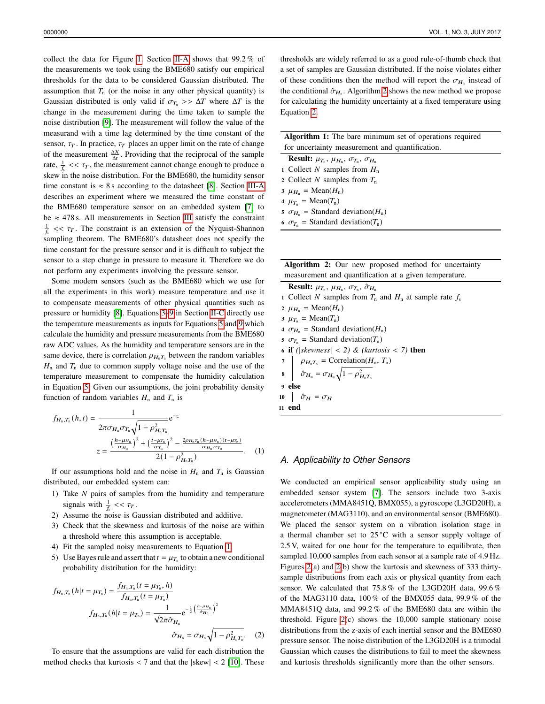collect the data for Figure [1.](#page-0-0) Section [II-A](#page-1-1) shows that 99.2 % of the measurements we took using the BME680 satisfy our empirical thresholds for the data to be considered Gaussian distributed. The assumption that  $T_n$  (or the noise in any other physical quantity) is Gaussian distributed is only valid if  $\sigma_{T_n} >> \Delta T$  where  $\Delta T$  is the change in the measurement during the time taken to sample the noise distribution [\[9\]](#page-4-7). The measurement will follow the value of the measurand with a time lag determined by the time constant of the sensor,  $\tau_T$ . In practice,  $\tau_T$  places an upper limit on the rate of change of the measurement  $\frac{\Delta X}{\Delta t}$ . Providing that the reciprocal of the sample rate,  $\frac{1}{f_s}$  <<  $\tau_T$ , the measurement cannot change enough to produce a skew in the noise distribution. For the BME680, the humidity sensor time constant is  $\approx 8$  s according to the datasheet [\[8\]](#page-4-6). Section [III-A](#page-2-0) describes an experiment where we measured the time constant of the BME680 temperature sensor on an embedded system [\[7\]](#page-4-5) to be  $\approx$  478 s. All measurements in Section [III](#page-2-1) satisfy the constraint  $\frac{1}{\sqrt{k}}$  <<  $\tau$ . The constraint is an extension of the Nyquist-Shannon sampling theorem. The BME680's datasheet does not specify the time constant for the pressure sensor and it is difficult to subject the sensor to a step change in pressure to measure it. Therefore we do not perform any experiments involving the pressure sensor.

Some modern sensors (such as the BME680 which we use for all the experiments in this work) measure temperature and use it to compensate measurements of other physical quantities such as pressure or humidity [\[8\]](#page-4-6). Equations [3](#page-2-2)[–9](#page-2-3) in Section [II-C](#page-2-4) directly use the temperature measurements as inputs for Equations [5](#page-2-5) and [9](#page-2-3) which calculate the humidity and pressure measurements from the BME680 raw ADC values. As the humidity and temperature sensors are in the same device, there is correlation  $\rho_{H_n T_n}$  between the random variables  $H_n$  and  $T_n$  due to common supply voltage noise and the use of the temperature measurement to compensate the humidity calculation in Equation [5.](#page-2-5) Given our assumptions, the joint probability density function of random variables  $H_n$  and  $T_n$  is

$$
f_{H_n, T_n}(h, t) = \frac{1}{2\pi\sigma_{H_n}\sigma_{T_n}\sqrt{1 - \rho_{H_n T_n}^2}} e^{-z}
$$

$$
z = \frac{\left(\frac{h - \mu_{H_n}}{\sigma_{H_n}}\right)^2 + \left(\frac{t - \mu_{T_n}}{\sigma_{T_n}}\right)^2 - \frac{2\rho_{H_n T_n}(h - \mu_{H_n})(t - \mu_{T_n})}{\sigma_{H_n}\sigma_{T_n}}}{{2(1 - \rho_{H_n T_n}^2)}}, \quad (1)
$$

If our assumptions hold and the noise in  $H_n$  and  $T_n$  is Gaussian distributed, our embedded system can:

- 1) Take  $N$  pairs of samples from the humidity and temperature signals with  $\frac{1}{f_s}$  <<  $\tau_T$ .
- 2) Assume the noise is Gaussian distributed and additive.
- 3) Check that the skewness and kurtosis of the noise are within a threshold where this assumption is acceptable.
- 4) Fit the sampled noisy measurements to Equation [1.](#page-1-2)
- 5) Use Bayes rule and assert that  $t = \mu_{T_n}$  to obtain a new conditional probability distribution for the humidity:

$$
f_{H_n,T_n}(h|t = \mu_{T_n}) = \frac{f_{H_n,T_n}(t = \mu_{T_n}, h)}{f_{H_n,T_n}(t = \mu_{T_n})}
$$

$$
f_{H_n,T_n}(h|t = \mu_{T_n}) = \frac{1}{\sqrt{2\pi}\hat{\sigma}_{H_n}} e^{-\frac{1}{2} \left(\frac{h - \mu_{H_n}}{\hat{\sigma}_{H_n}}\right)^2}
$$

$$
\hat{\sigma}_{H_n} = \sigma_{H_n} \sqrt{1 - \rho_{H_n}^2 T_n}. \quad (2)
$$

To ensure that the assumptions are valid for each distribution the method checks that kurtosis  $<$  7 and that the  $|\text{skew}|$   $<$  2 [\[10\]](#page-4-8). These thresholds are widely referred to as a good rule-of-thumb check that a set of samples are Gaussian distributed. If the noise violates either of these conditions then the method will report the  $\sigma_{H_n}$  instead of the conditional  $\hat{\sigma}_{H_n}$ . Algorithm [2](#page-1-3) shows the new method we propose for calculating the humidity uncertainty at a fixed temperature using Equation [2.](#page-1-4)

| <b>Algorithm 1:</b> The bare minimum set of operations required   |  |  |  |  |  |  |
|-------------------------------------------------------------------|--|--|--|--|--|--|
| for uncertainty measurement and quantification.                   |  |  |  |  |  |  |
| <b>Result:</b> $\mu_{T_n}, \mu_{H_n}, \sigma_{T_n}, \sigma_{H_n}$ |  |  |  |  |  |  |
| 1 Collect N samples from $H_n$                                    |  |  |  |  |  |  |
| 2 Collect N samples from $T_n$                                    |  |  |  |  |  |  |
| $\mu_{H_n}$ = Mean( $H_n$ )                                       |  |  |  |  |  |  |
| $4 \mu_{T_n} = \text{Mean}(T_n)$                                  |  |  |  |  |  |  |
| 5 $\sigma_{H_n}$ = Standard deviation( $H_n$ )                    |  |  |  |  |  |  |
| 6 $\sigma_{T_n}$ = Standard deviation( $T_n$ )                    |  |  |  |  |  |  |

<span id="page-1-0"></span>

|                                                        |  |  |  |  |  |  |  | Algorithm 2: Our new proposed method for uncertainty |  |
|--------------------------------------------------------|--|--|--|--|--|--|--|------------------------------------------------------|--|
| measurement and quantification at a given temperature. |  |  |  |  |  |  |  |                                                      |  |

**Result:**  $\mu_{T_n}, \mu_{H_n}, \sigma_{T_n}, \hat{\sigma}_{H_n}$ 1 Collect N samples from  $T_n$  and  $H_n$  at sample rate  $f_s$  $2 \mu_{H_n} = \text{Mean}(H_n)$  $3 \mu_{T_n} = \text{Mean}(T_n)$ 4  $\sigma_{H_n}$  = Standard deviation( $H_n$ )  $\sigma_{T_n}$  = Standard deviation( $T_n$ ) <sup>6</sup> if *(*|*skewness*| < *2) & (kurtosis* < *7)* then  $\rho_{H_n T_n}$  = Correlation( $H_n$ ,  $T_n$ ) 8  $\hat{\sigma}_{H_{\rm n}} = \sigma_{H_{\rm n}} \sqrt{1 - \rho_{H_{\rm n}}^2 T_{\rm n}}$ <sup>9</sup> else 10  $\hat{\sigma}_H = \sigma_H$ <sup>11</sup> end

## <span id="page-1-3"></span><span id="page-1-2"></span><span id="page-1-1"></span>*A. Applicability to Other Sensors*

<span id="page-1-4"></span>We conducted an empirical sensor applicability study using an embedded sensor system [\[7\]](#page-4-5). The sensors include two 3-axis accelerometers (MMA8451Q, BMX055), a gyroscope (L3GD20H), a magnetometer (MAG3110), and an environmental sensor (BME680). We placed the sensor system on a vibration isolation stage in a thermal chamber set to 25 ◦C with a sensor supply voltage of 2.5 V, waited for one hour for the temperature to equilibrate, then sampled 10,000 samples from each sensor at a sample rate of 4.9 Hz. Figures [2\(](#page-2-6)a) and [2\(](#page-2-6)b) show the kurtosis and skewness of 333 thirtysample distributions from each axis or physical quantity from each sensor. We calculated that 75.8 % of the L3GD20H data, 99.6 % of the MAG3110 data, 100 % of the BMX055 data, 99.9 % of the MMA8451Q data, and 99.2 % of the BME680 data are within the threshold. Figure [2\(](#page-2-6)c) shows the 10,000 sample stationary noise distributions from the z-axis of each inertial sensor and the BME680 pressure sensor. The noise distribution of the L3GD20H is a trimodal Gaussian which causes the distributions to fail to meet the skewness and kurtosis thresholds significantly more than the other sensors.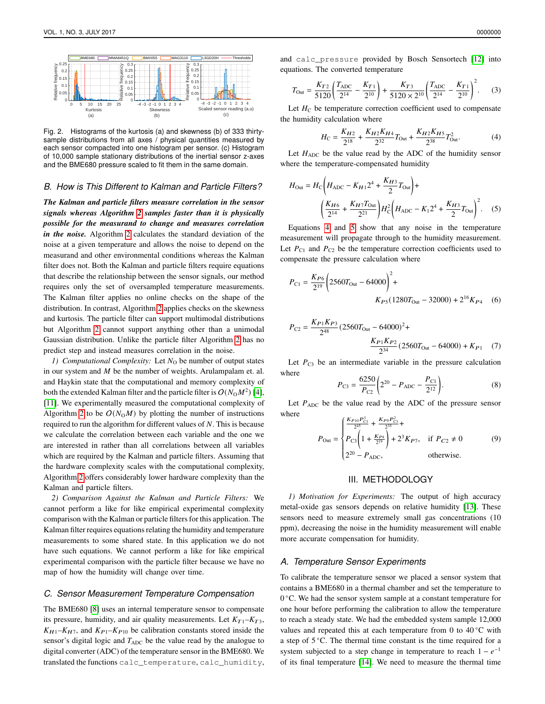

<span id="page-2-6"></span>Fig. 2. Histograms of the kurtosis (a) and skewness (b) of 333 thirtysample distributions from all axes / physical quantities measured by each sensor compacted into one histogram per sensor. (c) Histogram of 10,000 sample stationary distributions of the inertial sensor z-axes and the BME680 pressure scaled to fit them in the same domain.

### *B. How is This Different to Kalman and Particle Filters?*

*The Kalman and particle filters measure correlation in the sensor signals whereas Algorithm [2](#page-1-3) samples faster than it is physically possible for the measurand to change and measures correlation in the noise.* Algorithm [2](#page-1-3) calculates the standard deviation of the noise at a given temperature and allows the noise to depend on the measurand and other environmental conditions whereas the Kalman filter does not. Both the Kalman and particle filters require equations that describe the relationship between the sensor signals, our method requires only the set of oversampled temperature measurements. The Kalman filter applies no online checks on the shape of the distribution. In contrast, Algorithm [2](#page-1-3) applies checks on the skewness and kurtosis. The particle filter can support multimodal distributions but Algorithm [2](#page-1-3) cannot support anything other than a unimodal Gaussian distribution. Unlike the particle filter Algorithm [2](#page-1-3) has no predict step and instead measures correlation in the noise.

*1) Computational Complexity:* Let N<sub>0</sub> be number of output states in our system and  $M$  be the number of weights. Arulampalam et. al. and Haykin state that the computational and memory complexity of both the extended Kalman filter and the particle filter is  $O(N_0M^2)$  [\[4\]](#page-4-2), [\[11\]](#page-4-9). We experimentally measured the computational complexity of Algorithm [2](#page-1-3) to be  $O(N_0M)$  by plotting the number of instructions required to run the algorithm for different values of  $N$ . This is because we calculate the correlation between each variable and the one we are interested in rather than all correlations between all variables which are required by the Kalman and particle filters. Assuming that the hardware complexity scales with the computational complexity, Algorithm [2](#page-1-3) offers considerably lower hardware complexity than the Kalman and particle filters.

*2) Comparison Against the Kalman and Particle Filters:* We cannot perform a like for like empirical experimental complexity comparison with the Kalman or particle filters for this application. The Kalman filter requires equations relating the humidity and temperature measurements to some shared state. In this application we do not have such equations. We cannot perform a like for like empirical experimental comparison with the particle filter because we have no map of how the humidity will change over time.

#### <span id="page-2-4"></span>*C. Sensor Measurement Temperature Compensation*

The BME680 [\[8\]](#page-4-6) uses an internal temperature sensor to compensate its pressure, humidity, and air quality measurements. Let  $K_{T1} - K_{T3}$ ,  $K_{H1}$ – $K_{H7}$ , and  $K_{P1}$ – $K_{P10}$  be calibration constants stored inside the sensor's digital logic and  $T_{ADC}$  be the value read by the analogue to digital converter (ADC) of the temperature sensor in the BME680. We translated the functions calc\_temperature, calc\_humidity, and calc\_pressure provided by Bosch Sensortech [\[12\]](#page-4-10) into equations. The converted temperature

<span id="page-2-2"></span>
$$
T_{\text{Out}} = \frac{K_{T2}}{5120} \left( \frac{T_{\text{ADC}}}{2^{14}} - \frac{K_{T1}}{2^{10}} \right) + \frac{K_{T3}}{5120 \times 2^{10}} \left( \frac{T_{\text{ADC}}}{2^{14}} - \frac{K_{T1}}{2^{10}} \right)^2.
$$
 (3)

Let  $H_C$  be temperature correction coefficient used to compensate the humidity calculation where

<span id="page-2-7"></span><span id="page-2-5"></span>
$$
H_{\rm C} = \frac{K_{H2}}{2^{18}} + \frac{K_{H2}K_{H4}}{2^{32}}T_{\rm Out} + \frac{K_{H2}K_{H5}}{2^{38}}T_{\rm Out}^2.
$$
 (4)

Let  $H_{ADC}$  be the value read by the ADC of the humidity sensor where the temperature-compensated humidity

$$
H_{\text{Out}} = H_{\text{C}} \left( H_{\text{ADC}} - K_{H1} 2^4 + \frac{K_{H3}}{2} T_{\text{Out}} \right) +
$$

$$
\left( \frac{K_{H6}}{2^{14}} + \frac{K_{H7} T_{\text{Out}}}{2^{21}} \right) H_{\text{C}}^2 \left( H_{\text{ADC}} - K_1 2^4 + \frac{K_{H3}}{2} T_{\text{Out}} \right)^2. \tag{5}
$$

Equations [4](#page-2-7) and [5](#page-2-5) show that any noise in the temperature measurement will propagate through to the humidity measurement. Let  $P_{C1}$  and  $P_{C2}$  be the temperature correction coefficients used to compensate the pressure calculation where

$$
P_{\text{C1}} = \frac{K_{P6}}{2^{19}} \left( 2560 T_{\text{Out}} - 64000 \right)^2 +
$$
  
 
$$
K_{P5} (1280 T_{\text{Out}} - 32000) + 2^{16} K_{P4} \quad (6)
$$

$$
P_{\text{C2}} = \frac{K_{P1}K_{P3}}{2^{48}} (2560T_{\text{Out}} - 64000)^2 + \frac{K_{P1}K_{P2}}{2^{34}} (2560T_{\text{Out}} - 64000) + K_{P1} \quad (7)
$$

Let  $P_{C3}$  be an intermediate variable in the pressure calculation where

$$
P_{\text{C3}} = \frac{6250}{P_{\text{C2}}} \left( 2^{20} - P_{\text{ADC}} - \frac{P_{\text{C1}}}{2^{12}} \right). \tag{8}
$$

Let  $P_{ADC}$  be the value read by the ADC of the pressure sensor where

<span id="page-2-3"></span>
$$
P_{\text{Out}} = \begin{cases} \frac{K_{P10} P_{\text{C3}}^3}{2^{45}} + \frac{K_{P9} P_{\text{C3}}^2}{2^{35}} + \\ P_{\text{C3}} \left( 1 + \frac{K_{P8}}{2^{19}} \right) + 2^3 K_{P7}, & \text{if } P_{C2} \neq 0 \\ 2^{20} - P_{\text{ADC}}, & \text{otherwise.} \end{cases} \tag{9}
$$

## III. METHODOLOGY

<span id="page-2-1"></span>*1) Motivation for Experiments:* The output of high accuracy metal-oxide gas sensors depends on relative humidity [\[13\]](#page-4-11). These sensors need to measure extremely small gas concentrations (10 ppm), decreasing the noise in the humidity measurement will enable more accurate compensation for humidity.

#### <span id="page-2-0"></span>*A. Temperature Sensor Experiments*

To calibrate the temperature sensor we placed a sensor system that contains a BME680 in a thermal chamber and set the temperature to 0 ◦C. We had the sensor system sample at a constant temperature for one hour before performing the calibration to allow the temperature to reach a steady state. We had the embedded system sample 12,000 values and repeated this at each temperature from 0 to 40 $°C$  with a step of 5 ◦C. The thermal time constant is the time required for a system subjected to a step change in temperature to reach  $1 - e^{-1}$ of its final temperature [\[14\]](#page-4-12). We need to measure the thermal time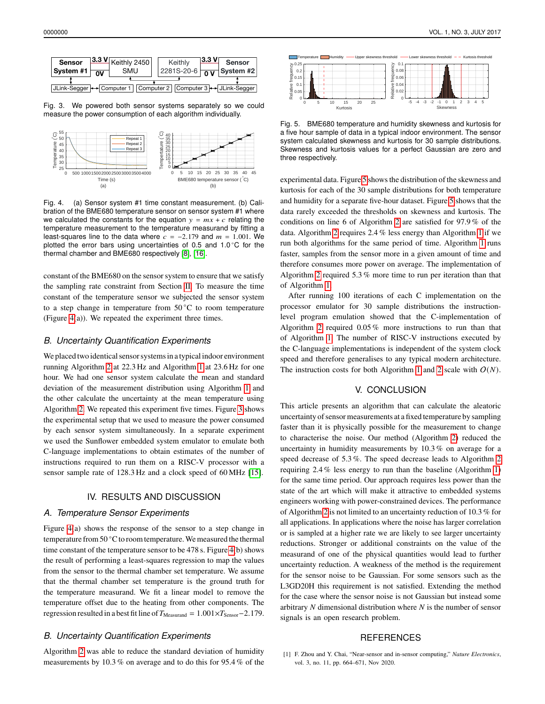

<span id="page-3-2"></span>Fig. 3. We powered both sensor systems separately so we could measure the power consumption of each algorithm individually.



<span id="page-3-1"></span>Fig. 4. (a) Sensor system #1 time constant measurement. (b) Calibration of the BME680 temperature sensor on sensor system #1 where we calculated the constants for the equation  $y = mx + c$  relating the temperature measurement to the temperature measurand by fitting a least-squares line to the data where  $c = -2.179$  and  $m = 1.001$ . We plotted the error bars using uncertainties of 0.5 and 1.0 °C for the thermal chamber and BME680 respectively [\[8\]](#page-4-6), [\[16\]](#page-4-13).

constant of the BME680 on the sensor system to ensure that we satisfy the sampling rate constraint from Section [II.](#page-0-1) To measure the time constant of the temperature sensor we subjected the sensor system to a step change in temperature from  $50^{\circ}$ C to room temperature (Figure [4\(](#page-3-1)a)). We repeated the experiment three times.

#### *B. Uncertainty Quantification Experiments*

We placed two identical sensor systems in a typical indoor environment running Algorithm [2](#page-1-3) at 22.3 Hz and Algorithm [1](#page-1-0) at 23.6 Hz for one hour. We had one sensor system calculate the mean and standard deviation of the measurement distribution using Algorithm [1](#page-1-0) and the other calculate the uncertainty at the mean temperature using Algorithm [2.](#page-1-3) We repeated this experiment five times. Figure [3](#page-3-2) shows the experimental setup that we used to measure the power consumed by each sensor system simultaneously. In a separate experiment we used the Sunflower embedded system emulator to emulate both C-language implementations to obtain estimates of the number of instructions required to run them on a RISC-V processor with a sensor sample rate of 128.3 Hz and a clock speed of 60 MHz [\[15\]](#page-4-14).

#### IV. RESULTS AND DISCUSSION

#### *A. Temperature Sensor Experiments*

Figure [4\(](#page-3-1)a) shows the response of the sensor to a step change in temperature from 50 °C to room temperature. We measured the thermal time constant of the temperature sensor to be 478 s. Figure [4\(](#page-3-1)b) shows the result of performing a least-squares regression to map the values from the sensor to the thermal chamber set temperature. We assume that the thermal chamber set temperature is the ground truth for the temperature measurand. We fit a linear model to remove the temperature offset due to the heating from other components. The regression resulted in a best fit line of  $T_{\text{Measured}} = 1.001 \times T_{\text{Sensor}} - 2.179$ .

## *B. Uncertainty Quantification Experiments*

Algorithm [2](#page-1-3) was able to reduce the standard deviation of humidity measurements by 10.3 % on average and to do this for 95.4 % of the



<span id="page-3-3"></span>Fig. 5. BME680 temperature and humidity skewness and kurtosis for a five hour sample of data in a typical indoor environment. The sensor system calculated skewness and kurtosis for 30 sample distributions. Skewness and kurtosis values for a perfect Gaussian are zero and three respectively.

experimental data. Figure [5](#page-3-3) shows the distribution of the skewness and kurtosis for each of the 30 sample distributions for both temperature and humidity for a separate five-hour dataset. Figure [5](#page-3-3) shows that the data rarely exceeded the thresholds on skewness and kurtosis. The conditions on line 6 of Algorithm [2](#page-1-3) are satisfied for 97.9 % of the data. Algorithm [2](#page-1-3) requires 2.4 % less energy than Algorithm [1](#page-1-0) if we run both algorithms for the same period of time. Algorithm [1](#page-1-0) runs faster, samples from the sensor more in a given amount of time and therefore consumes more power on average. The implementation of Algorithm [2](#page-1-3) required 5.3 % more time to run per iteration than that of Algorithm [1.](#page-1-0)

After running 100 iterations of each C implementation on the processor emulator for 30 sample distributions the instructionlevel program emulation showed that the C-implementation of Algorithm [2](#page-1-3) required 0.05 % more instructions to run than that of Algorithm [1.](#page-1-0) The number of RISC-V instructions executed by the C-language implementations is independent of the system clock speed and therefore generalises to any typical modern architecture. The instruction costs for both Algorithm [1](#page-1-0) and [2](#page-1-3) scale with  $O(N)$ .

## V. CONCLUSION

This article presents an algorithm that can calculate the aleatoric uncertainty of sensor measurements at a fixed temperature by sampling faster than it is physically possible for the measurement to change to characterise the noise. Our method (Algorithm [2\)](#page-1-3) reduced the uncertainty in humidity measurements by 10.3 % on average for a speed decrease of 5.3 %. The speed decrease leads to Algorithm [2](#page-1-3) requiring 2.4 % less energy to run than the baseline (Algorithm [1\)](#page-1-0) for the same time period. Our approach requires less power than the state of the art which will make it attractive to embedded systems engineers working with power-constrained devices. The performance of Algorithm [2](#page-1-3) is not limited to an uncertainty reduction of 10.3 % for all applications. In applications where the noise has larger correlation or is sampled at a higher rate we are likely to see larger uncertainty reductions. Stronger or additional constraints on the value of the measurand of one of the physical quantities would lead to further uncertainty reduction. A weakness of the method is the requirement for the sensor noise to be Gaussian. For some sensors such as the L3GD20H this requirement is not satisfied. Extending the method for the case where the sensor noise is not Gaussian but instead some arbitrary  $N$  dimensional distribution where  $N$  is the number of sensor signals is an open research problem.

#### **REFERENCES**

<span id="page-3-0"></span>[1] F. Zhou and Y. Chai, "Near-sensor and in-sensor computing," *Nature Electronics*, vol. 3, no. 11, pp. 664–671, Nov 2020.